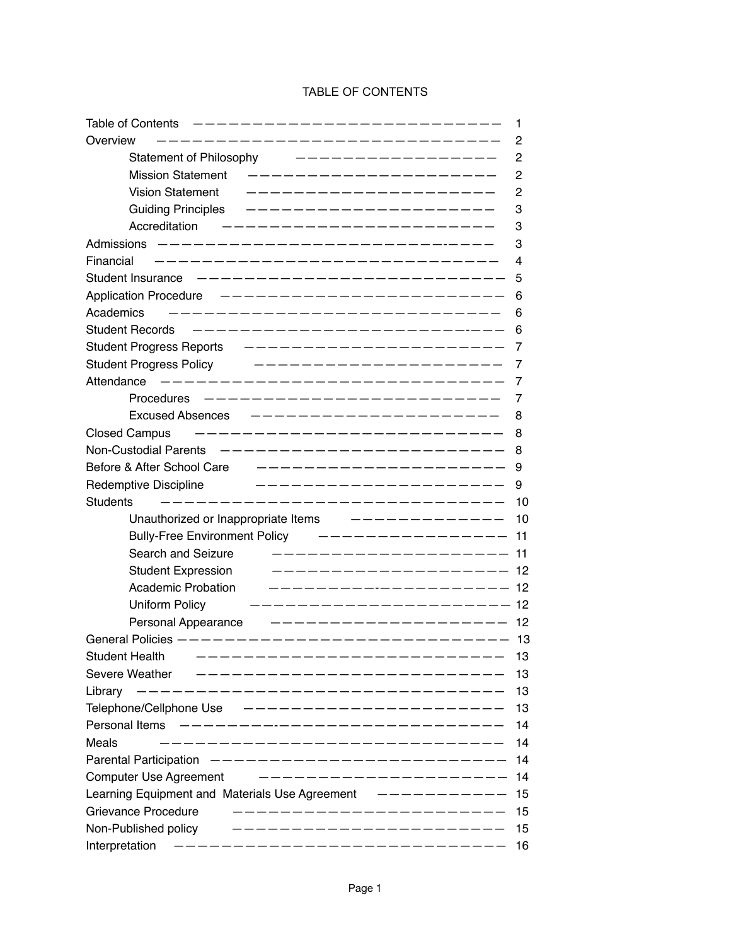# TABLE OF CONTENTS

| ————————-<br>Table of Contents                               | 1   |
|--------------------------------------------------------------|-----|
| Overview                                                     | 2   |
| <b>Statement of Philosophy</b>                               | 2   |
| Mission Statement ---------------------                      | 2   |
| <b>Vision Statement</b>                                      | 2   |
| <b>Guiding Principles</b><br>---------------------           | 3   |
| Accreditation                                                | 3   |
|                                                              | 3   |
| Financial                                                    | 4   |
| Student Insurance<br>----------------------------            | 5   |
| ______________________<br><b>Application Procedure</b>       | 6   |
| Academics<br>----------------------------                    | 6   |
| <b>Student Records</b><br>___________________________        | 6   |
| ______________________<br>Student Progress Reports           | 7   |
| <b>Student Progress Policy</b><br>____________________       | 7   |
| ___________________________<br>Attendance                    | 7   |
| _________________________<br>Procedures                      | 7   |
| <b>Excused Absences</b><br>____________________              | 8   |
| ---------------------------<br><b>Closed Campus</b>          | 8   |
| <b>Non-Custodial Parents</b><br>_______________________      | 8   |
| Before & After School Care<br>-------------------            | 9   |
| Redemptive Discipline<br>. _ _ _ _ _ _ _ _ _ _ _ _ _ _ _ _ _ | 9   |
| <b>Students</b><br>-----------------------------             | 10  |
| Unauthorized or Inappropriate Items -------------            | 10  |
| Bully-Free Environment Policy ---------------                | 11  |
| Search and Seizure<br>__________________                     | 11  |
| <b>Student Expression</b><br>__________________              | 12  |
| <b>Academic Probation</b>                                    | 12  |
| _____________________<br>Uniform Policy                      | 12  |
| Personal Appearance<br>--------------------                  | 12  |
| General Policies ----------------------------                | -13 |
| <b>Student Health</b><br>---------------                     | 13  |
| Severe Weather                                               | 13  |
| _______________________________<br>Library                   | 13  |
| Telephone/Cellphone Use ----------------------               | 13  |
| ---------------------------<br>Personal Items                | 14  |
| Meals<br>-------------------------------                     | 14  |
| Parental Participation -------------------------             | 14  |
| _______________________<br>Computer Use Agreement            | 14  |
| Learning Equipment and Materials Use Agreement -----------   | 15  |
| _______________________<br>Grievance Procedure               | 15  |
| -----------------------<br>Non-Published policy              | 15  |
| ------------------------------<br>Interpretation             | 16  |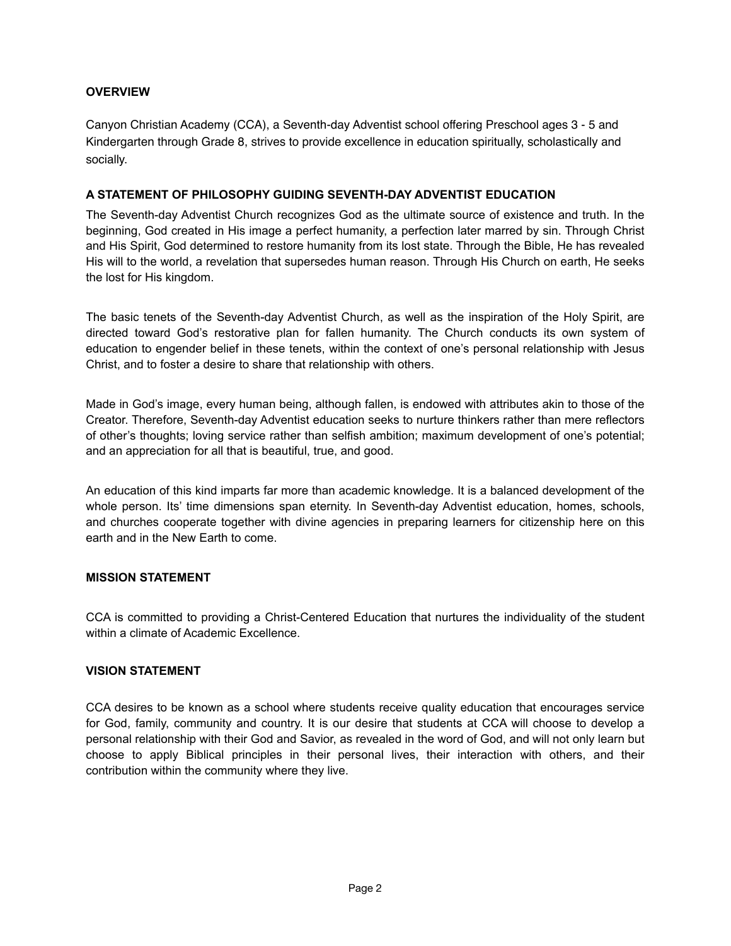# **OVERVIEW**

Canyon Christian Academy (CCA), a Seventh-day Adventist school offering Preschool ages 3 - 5 and Kindergarten through Grade 8, strives to provide excellence in education spiritually, scholastically and socially.

# **A STATEMENT OF PHILOSOPHY GUIDING SEVENTH-DAY ADVENTIST EDUCATION**

The Seventh-day Adventist Church recognizes God as the ultimate source of existence and truth. In the beginning, God created in His image a perfect humanity, a perfection later marred by sin. Through Christ and His Spirit, God determined to restore humanity from its lost state. Through the Bible, He has revealed His will to the world, a revelation that supersedes human reason. Through His Church on earth, He seeks the lost for His kingdom.

The basic tenets of the Seventh-day Adventist Church, as well as the inspiration of the Holy Spirit, are directed toward God's restorative plan for fallen humanity. The Church conducts its own system of education to engender belief in these tenets, within the context of one's personal relationship with Jesus Christ, and to foster a desire to share that relationship with others.

Made in God's image, every human being, although fallen, is endowed with attributes akin to those of the Creator. Therefore, Seventh-day Adventist education seeks to nurture thinkers rather than mere reflectors of other's thoughts; loving service rather than selfish ambition; maximum development of one's potential; and an appreciation for all that is beautiful, true, and good.

An education of this kind imparts far more than academic knowledge. It is a balanced development of the whole person. Its' time dimensions span eternity. In Seventh-day Adventist education, homes, schools, and churches cooperate together with divine agencies in preparing learners for citizenship here on this earth and in the New Earth to come.

# **MISSION STATEMENT**

CCA is committed to providing a Christ-Centered Education that nurtures the individuality of the student within a climate of Academic Excellence.

# **VISION STATEMENT**

CCA desires to be known as a school where students receive quality education that encourages service for God, family, community and country. It is our desire that students at CCA will choose to develop a personal relationship with their God and Savior, as revealed in the word of God, and will not only learn but choose to apply Biblical principles in their personal lives, their interaction with others, and their contribution within the community where they live.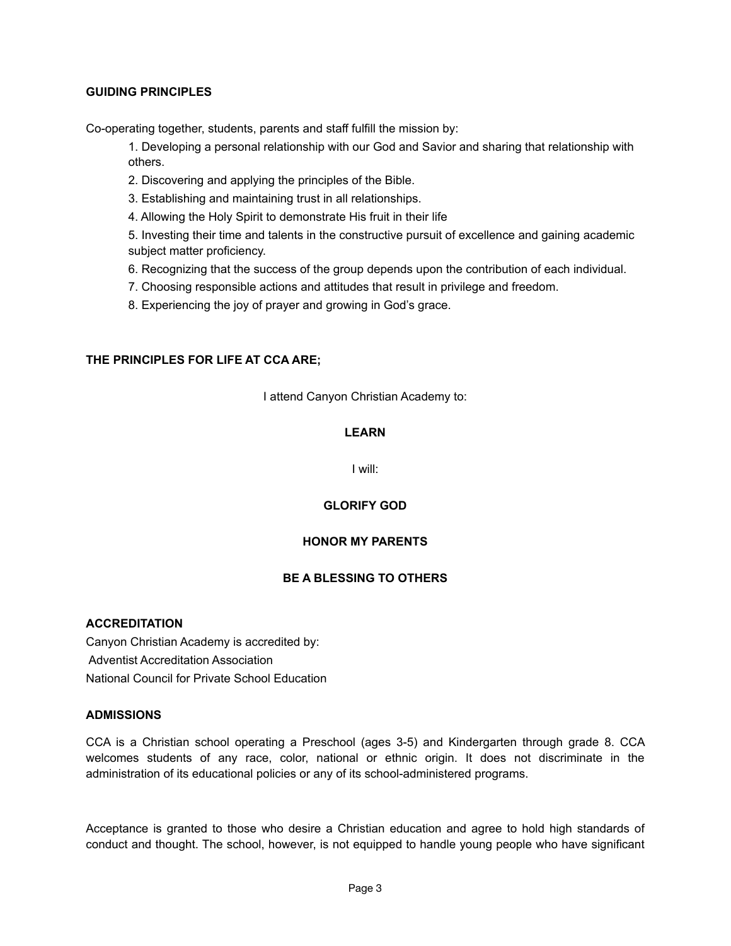# **GUIDING PRINCIPLES**

Co-operating together, students, parents and staff fulfill the mission by:

1. Developing a personal relationship with our God and Savior and sharing that relationship with others.

- 2. Discovering and applying the principles of the Bible.
- 3. Establishing and maintaining trust in all relationships.
- 4. Allowing the Holy Spirit to demonstrate His fruit in their life

5. Investing their time and talents in the constructive pursuit of excellence and gaining academic subject matter proficiency.

- 6. Recognizing that the success of the group depends upon the contribution of each individual.
- 7. Choosing responsible actions and attitudes that result in privilege and freedom.
- 8. Experiencing the joy of prayer and growing in God's grace.

# **THE PRINCIPLES FOR LIFE AT CCA ARE;**

I attend Canyon Christian Academy to:

# **LEARN**

I will:

# **GLORIFY GOD**

# **HONOR MY PARENTS**

# **BE A BLESSING TO OTHERS**

#### **ACCREDITATION**

Canyon Christian Academy is accredited by: Adventist Accreditation Association National Council for Private School Education

#### **ADMISSIONS**

CCA is a Christian school operating a Preschool (ages 3-5) and Kindergarten through grade 8. CCA welcomes students of any race, color, national or ethnic origin. It does not discriminate in the administration of its educational policies or any of its school-administered programs.

Acceptance is granted to those who desire a Christian education and agree to hold high standards of conduct and thought. The school, however, is not equipped to handle young people who have significant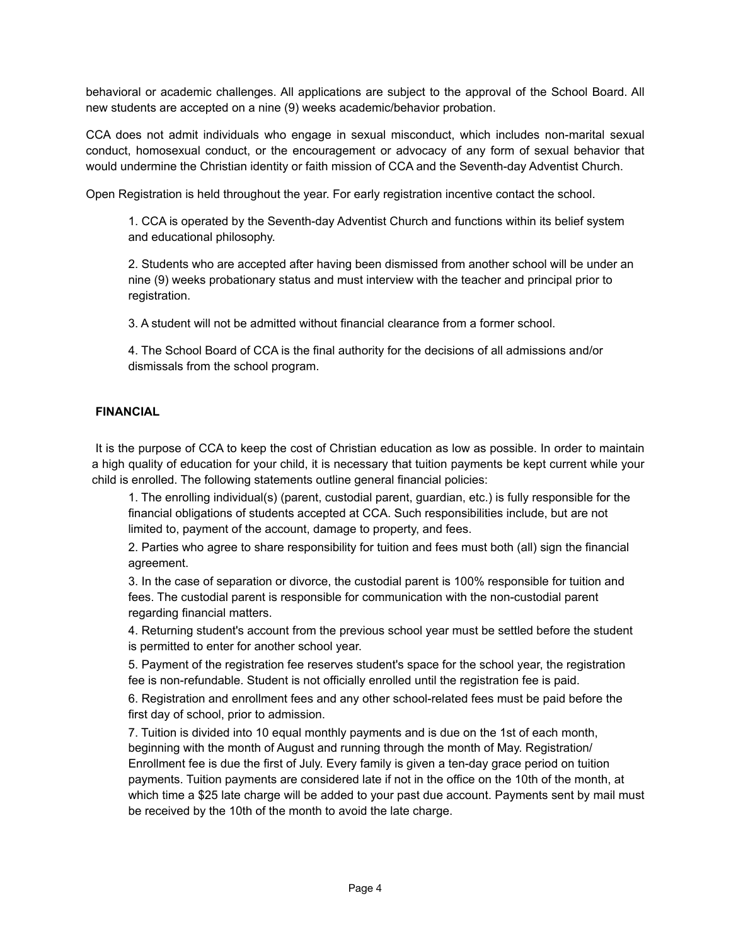behavioral or academic challenges. All applications are subject to the approval of the School Board. All new students are accepted on a nine (9) weeks academic/behavior probation.

CCA does not admit individuals who engage in sexual misconduct, which includes non-marital sexual conduct, homosexual conduct, or the encouragement or advocacy of any form of sexual behavior that would undermine the Christian identity or faith mission of CCA and the Seventh-day Adventist Church.

Open Registration is held throughout the year. For early registration incentive contact the school.

1. CCA is operated by the Seventh-day Adventist Church and functions within its belief system and educational philosophy.

2. Students who are accepted after having been dismissed from another school will be under an nine (9) weeks probationary status and must interview with the teacher and principal prior to registration.

3. A student will not be admitted without financial clearance from a former school.

4. The School Board of CCA is the final authority for the decisions of all admissions and/or dismissals from the school program.

# **FINANCIAL**

It is the purpose of CCA to keep the cost of Christian education as low as possible. In order to maintain a high quality of education for your child, it is necessary that tuition payments be kept current while your child is enrolled. The following statements outline general financial policies:

1. The enrolling individual(s) (parent, custodial parent, guardian, etc.) is fully responsible for the financial obligations of students accepted at CCA. Such responsibilities include, but are not limited to, payment of the account, damage to property, and fees.

2. Parties who agree to share responsibility for tuition and fees must both (all) sign the financial agreement.

3. In the case of separation or divorce, the custodial parent is 100% responsible for tuition and fees. The custodial parent is responsible for communication with the non-custodial parent regarding financial matters.

4. Returning student's account from the previous school year must be settled before the student is permitted to enter for another school year.

5. Payment of the registration fee reserves student's space for the school year, the registration fee is non-refundable. Student is not officially enrolled until the registration fee is paid.

6. Registration and enrollment fees and any other school-related fees must be paid before the first day of school, prior to admission.

7. Tuition is divided into 10 equal monthly payments and is due on the 1st of each month, beginning with the month of August and running through the month of May. Registration/ Enrollment fee is due the first of July. Every family is given a ten-day grace period on tuition payments. Tuition payments are considered late if not in the office on the 10th of the month, at which time a \$25 late charge will be added to your past due account. Payments sent by mail must be received by the 10th of the month to avoid the late charge.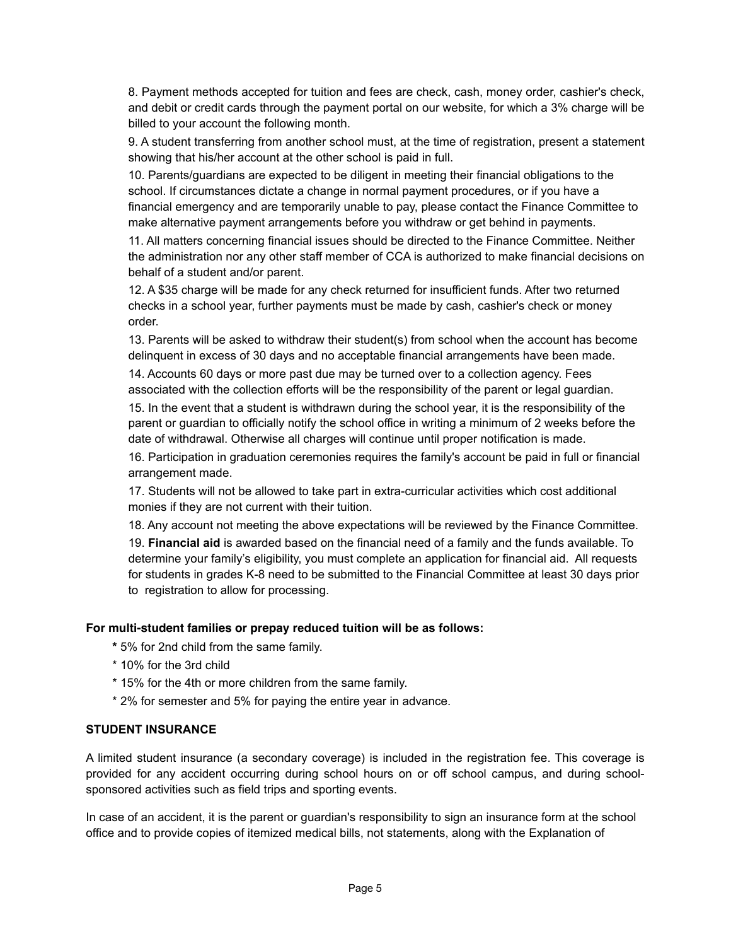8. Payment methods accepted for tuition and fees are check, cash, money order, cashier's check, and debit or credit cards through the payment portal on our website, for which a 3% charge will be billed to your account the following month.

9. A student transferring from another school must, at the time of registration, present a statement showing that his/her account at the other school is paid in full.

10. Parents/guardians are expected to be diligent in meeting their financial obligations to the school. If circumstances dictate a change in normal payment procedures, or if you have a financial emergency and are temporarily unable to pay, please contact the Finance Committee to make alternative payment arrangements before you withdraw or get behind in payments.

11. All matters concerning financial issues should be directed to the Finance Committee. Neither the administration nor any other staff member of CCA is authorized to make financial decisions on behalf of a student and/or parent.

12. A \$35 charge will be made for any check returned for insufficient funds. After two returned checks in a school year, further payments must be made by cash, cashier's check or money order.

13. Parents will be asked to withdraw their student(s) from school when the account has become delinquent in excess of 30 days and no acceptable financial arrangements have been made.

14. Accounts 60 days or more past due may be turned over to a collection agency. Fees associated with the collection efforts will be the responsibility of the parent or legal guardian.

15. In the event that a student is withdrawn during the school year, it is the responsibility of the parent or guardian to officially notify the school office in writing a minimum of 2 weeks before the date of withdrawal. Otherwise all charges will continue until proper notification is made.

16. Participation in graduation ceremonies requires the family's account be paid in full or financial arrangement made.

17. Students will not be allowed to take part in extra-curricular activities which cost additional monies if they are not current with their tuition.

18. Any account not meeting the above expectations will be reviewed by the Finance Committee.

19. **Financial aid** is awarded based on the financial need of a family and the funds available. To determine your family's eligibility, you must complete an application for financial aid. All requests for students in grades K-8 need to be submitted to the Financial Committee at least 30 days prior to registration to allow for processing.

# **For multi-student families or prepay reduced tuition will be as follows:**

- **\*** 5% for 2nd child from the same family.
- \* 10% for the 3rd child
- \* 15% for the 4th or more children from the same family.
- \* 2% for semester and 5% for paying the entire year in advance.

# **STUDENT INSURANCE**

A limited student insurance (a secondary coverage) is included in the registration fee. This coverage is provided for any accident occurring during school hours on or off school campus, and during schoolsponsored activities such as field trips and sporting events.

In case of an accident, it is the parent or guardian's responsibility to sign an insurance form at the school office and to provide copies of itemized medical bills, not statements, along with the Explanation of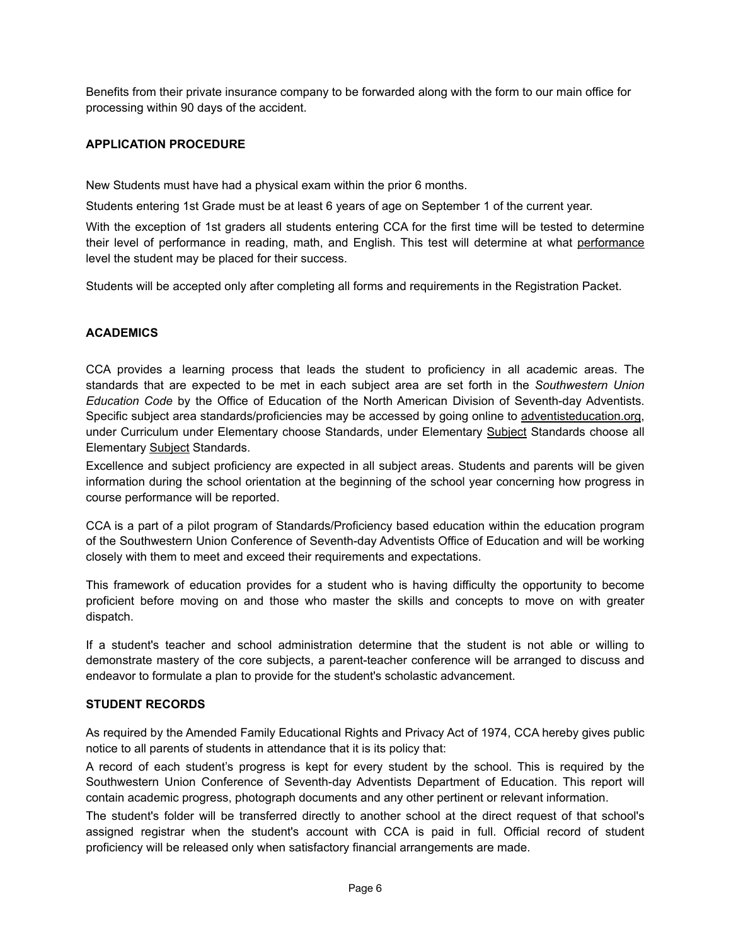Benefits from their private insurance company to be forwarded along with the form to our main office for processing within 90 days of the accident.

# **APPLICATION PROCEDURE**

New Students must have had a physical exam within the prior 6 months.

Students entering 1st Grade must be at least 6 years of age on September 1 of the current year.

With the exception of 1st graders all students entering CCA for the first time will be tested to determine their level of performance in reading, math, and English. This test will determine at what performance level the student may be placed for their success.

Students will be accepted only after completing all forms and requirements in the Registration Packet.

# **ACADEMICS**

CCA provides a learning process that leads the student to proficiency in all academic areas. The standards that are expected to be met in each subject area are set forth in the *Southwestern Union Education Code* by the Office of Education of the North American Division of Seventh-day Adventists. Specific subject area standards/proficiencies may be accessed by going online to [adventisteducation.org](http://adventisteducation.org), under Curriculum under Elementary choose Standards, under Elementary Subject Standards choose all Elementary Subject Standards.

Excellence and subject proficiency are expected in all subject areas. Students and parents will be given information during the school orientation at the beginning of the school year concerning how progress in course performance will be reported.

CCA is a part of a pilot program of Standards/Proficiency based education within the education program of the Southwestern Union Conference of Seventh-day Adventists Office of Education and will be working closely with them to meet and exceed their requirements and expectations.

This framework of education provides for a student who is having difficulty the opportunity to become proficient before moving on and those who master the skills and concepts to move on with greater dispatch.

If a student's teacher and school administration determine that the student is not able or willing to demonstrate mastery of the core subjects, a parent-teacher conference will be arranged to discuss and endeavor to formulate a plan to provide for the student's scholastic advancement.

# **STUDENT RECORDS**

As required by the Amended Family Educational Rights and Privacy Act of 1974, CCA hereby gives public notice to all parents of students in attendance that it is its policy that:

A record of each student's progress is kept for every student by the school. This is required by the Southwestern Union Conference of Seventh-day Adventists Department of Education. This report will contain academic progress, photograph documents and any other pertinent or relevant information.

The student's folder will be transferred directly to another school at the direct request of that school's assigned registrar when the student's account with CCA is paid in full. Official record of student proficiency will be released only when satisfactory financial arrangements are made.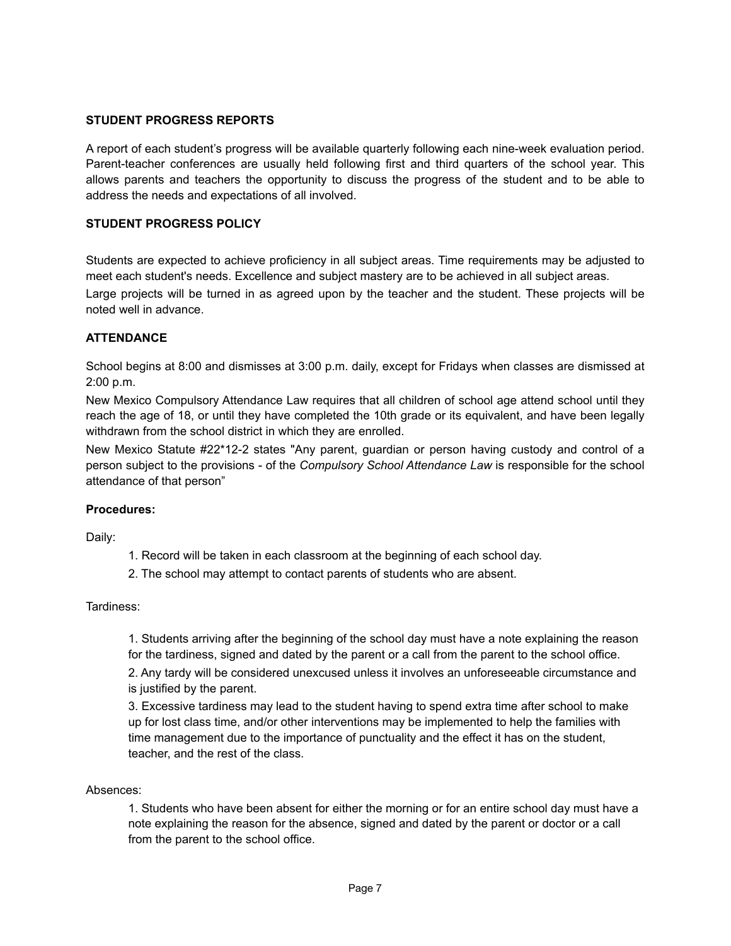# **STUDENT PROGRESS REPORTS**

A report of each student's progress will be available quarterly following each nine-week evaluation period. Parent-teacher conferences are usually held following first and third quarters of the school year. This allows parents and teachers the opportunity to discuss the progress of the student and to be able to address the needs and expectations of all involved.

# **STUDENT PROGRESS POLICY**

Students are expected to achieve proficiency in all subject areas. Time requirements may be adjusted to meet each student's needs. Excellence and subject mastery are to be achieved in all subject areas. Large projects will be turned in as agreed upon by the teacher and the student. These projects will be noted well in advance.

# **ATTENDANCE**

School begins at 8:00 and dismisses at 3:00 p.m. daily, except for Fridays when classes are dismissed at 2:00 p.m.

New Mexico Compulsory Attendance Law requires that all children of school age attend school until they reach the age of 18, or until they have completed the 10th grade or its equivalent, and have been legally withdrawn from the school district in which they are enrolled.

New Mexico Statute #22\*12-2 states "Any parent, guardian or person having custody and control of a person subject to the provisions - of the *Compulsory School Attendance Law* is responsible for the school attendance of that person"

# **Procedures:**

Daily:

- 1. Record will be taken in each classroom at the beginning of each school day.
- 2. The school may attempt to contact parents of students who are absent.

Tardiness:

1. Students arriving after the beginning of the school day must have a note explaining the reason for the tardiness, signed and dated by the parent or a call from the parent to the school office. 2. Any tardy will be considered unexcused unless it involves an unforeseeable circumstance and is justified by the parent.

3. Excessive tardiness may lead to the student having to spend extra time after school to make up for lost class time, and/or other interventions may be implemented to help the families with time management due to the importance of punctuality and the effect it has on the student, teacher, and the rest of the class.

#### Absences:

1. Students who have been absent for either the morning or for an entire school day must have a note explaining the reason for the absence, signed and dated by the parent or doctor or a call from the parent to the school office.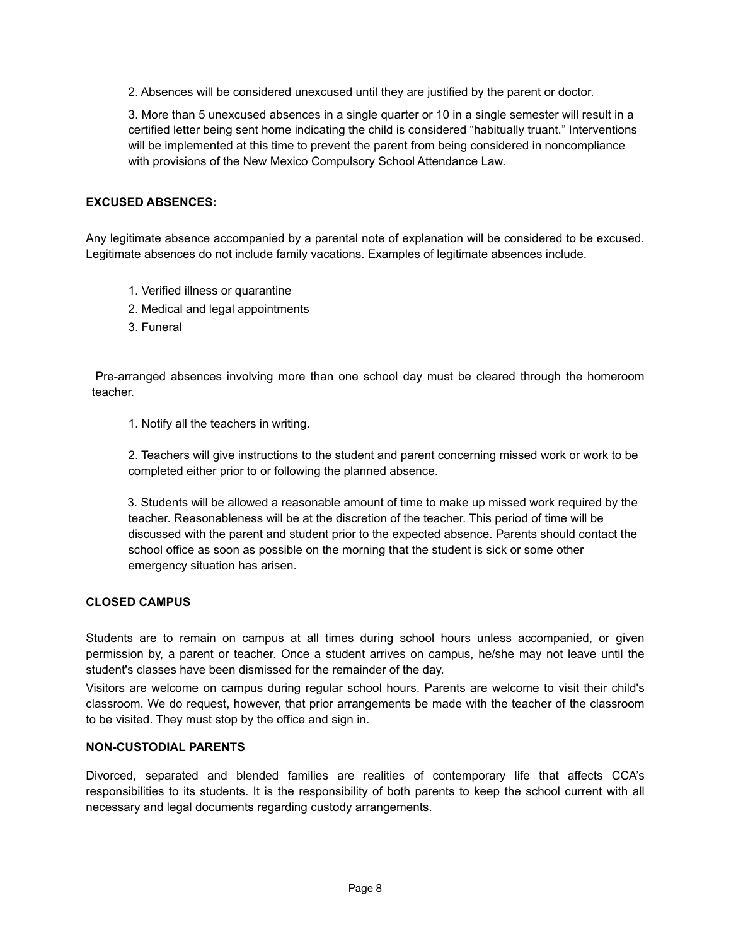2. Absences will be considered unexcused until they are justified by the parent or doctor.

3. More than 5 unexcused absences in a single quarter or 10 in a single semester will result in a certified letter being sent home indicating the child is considered "habitually truant." Interventions will be implemented at this time to prevent the parent from being considered in noncompliance with provisions of the New Mexico Compulsory School Attendance Law.

### **EXCUSED ABSENCES:**

Any legitimate absence accompanied by a parental note of explanation will be considered to be excused. Legitimate absences do not include family vacations. Examples of legitimate absences include.

- 1. Verified illness or quarantine
- 2. Medical and legal appointments
- 3. Funeral

Pre-arranged absences involving more than one school day must be cleared through the homeroom teacher.

1. Notify all the teachers in writing.

2. Teachers will give instructions to the student and parent concerning missed work or work to be completed either prior to or following the planned absence.

 3. Students will be allowed a reasonable amount of time to make up missed work required by the teacher. Reasonableness will be at the discretion of the teacher. This period of time will be discussed with the parent and student prior to the expected absence. Parents should contact the school office as soon as possible on the morning that the student is sick or some other emergency situation has arisen.

# **CLOSED CAMPUS**

Students are to remain on campus at all times during school hours unless accompanied, or given permission by, a parent or teacher. Once a student arrives on campus, he/she may not leave until the student's classes have been dismissed for the remainder of the day.

Visitors are welcome on campus during regular school hours. Parents are welcome to visit their child's classroom. We do request, however, that prior arrangements be made with the teacher of the classroom to be visited. They must stop by the office and sign in.

#### **NON-CUSTODIAL PARENTS**

Divorced, separated and blended families are realities of contemporary life that affects CCA's responsibilities to its students. It is the responsibility of both parents to keep the school current with all necessary and legal documents regarding custody arrangements.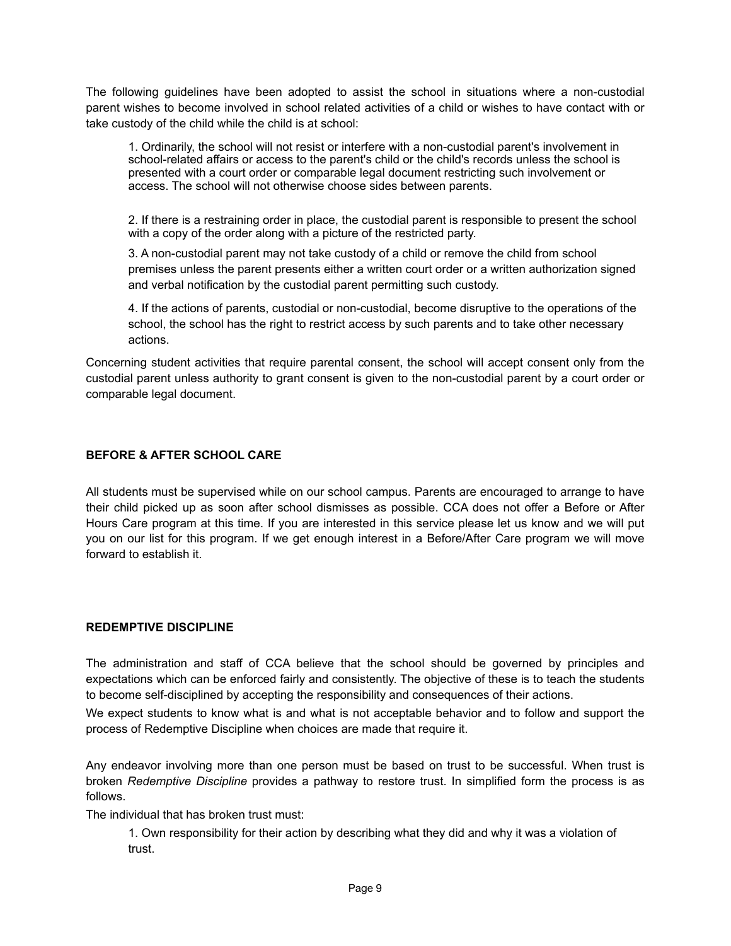The following guidelines have been adopted to assist the school in situations where a non-custodial parent wishes to become involved in school related activities of a child or wishes to have contact with or take custody of the child while the child is at school:

1. Ordinarily, the school will not resist or interfere with a non-custodial parent's involvement in school-related affairs or access to the parent's child or the child's records unless the school is presented with a court order or comparable legal document restricting such involvement or access. The school will not otherwise choose sides between parents.

2. If there is a restraining order in place, the custodial parent is responsible to present the school with a copy of the order along with a picture of the restricted party.

3. A non-custodial parent may not take custody of a child or remove the child from school premises unless the parent presents either a written court order or a written authorization signed and verbal notification by the custodial parent permitting such custody.

4. If the actions of parents, custodial or non-custodial, become disruptive to the operations of the school, the school has the right to restrict access by such parents and to take other necessary actions.

Concerning student activities that require parental consent, the school will accept consent only from the custodial parent unless authority to grant consent is given to the non-custodial parent by a court order or comparable legal document.

# **BEFORE & AFTER SCHOOL CARE**

All students must be supervised while on our school campus. Parents are encouraged to arrange to have their child picked up as soon after school dismisses as possible. CCA does not offer a Before or After Hours Care program at this time. If you are interested in this service please let us know and we will put you on our list for this program. If we get enough interest in a Before/After Care program we will move forward to establish it.

# **REDEMPTIVE DISCIPLINE**

The administration and staff of CCA believe that the school should be governed by principles and expectations which can be enforced fairly and consistently. The objective of these is to teach the students to become self-disciplined by accepting the responsibility and consequences of their actions.

We expect students to know what is and what is not acceptable behavior and to follow and support the process of Redemptive Discipline when choices are made that require it.

Any endeavor involving more than one person must be based on trust to be successful. When trust is broken *Redemptive Discipline* provides a pathway to restore trust. In simplified form the process is as follows.

The individual that has broken trust must:

1. Own responsibility for their action by describing what they did and why it was a violation of trust.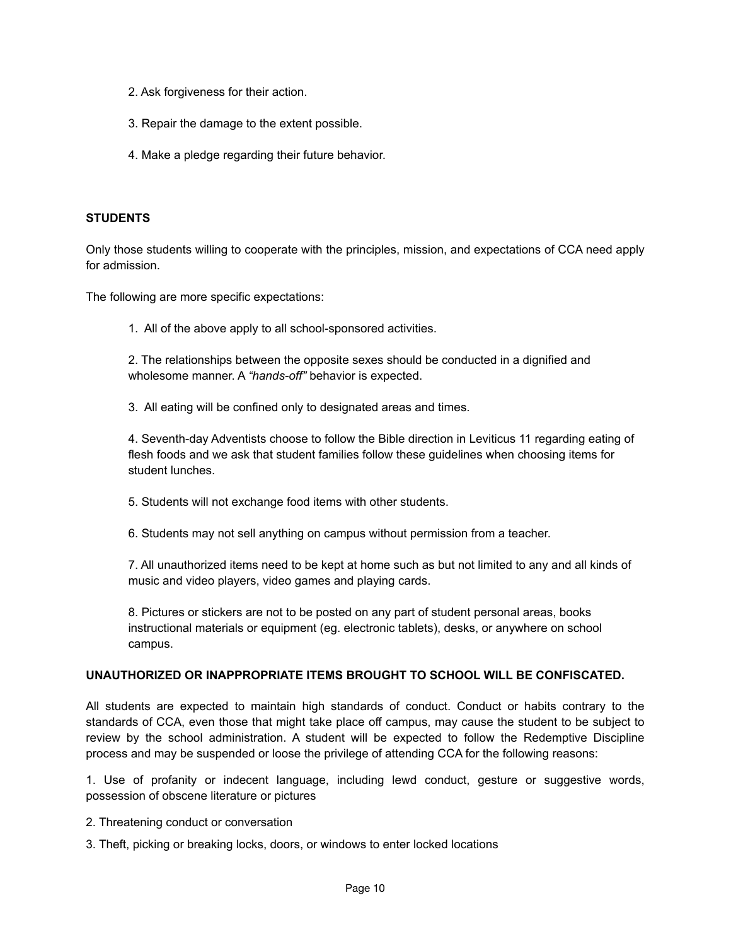- 2. Ask forgiveness for their action.
- 3. Repair the damage to the extent possible.
- 4. Make a pledge regarding their future behavior.

### **STUDENTS**

Only those students willing to cooperate with the principles, mission, and expectations of CCA need apply for admission.

The following are more specific expectations:

1. All of the above apply to all school-sponsored activities.

2. The relationships between the opposite sexes should be conducted in a dignified and wholesome manner. A *"hands-off"* behavior is expected.

3. All eating will be confined only to designated areas and times.

4. Seventh-day Adventists choose to follow the Bible direction in Leviticus 11 regarding eating of flesh foods and we ask that student families follow these guidelines when choosing items for student lunches.

- 5. Students will not exchange food items with other students.
- 6. Students may not sell anything on campus without permission from a teacher.

7. All unauthorized items need to be kept at home such as but not limited to any and all kinds of music and video players, video games and playing cards.

8. Pictures or stickers are not to be posted on any part of student personal areas, books instructional materials or equipment (eg. electronic tablets), desks, or anywhere on school campus.

#### **UNAUTHORIZED OR INAPPROPRIATE ITEMS BROUGHT TO SCHOOL WILL BE CONFISCATED.**

All students are expected to maintain high standards of conduct. Conduct or habits contrary to the standards of CCA, even those that might take place off campus, may cause the student to be subject to review by the school administration. A student will be expected to follow the Redemptive Discipline process and may be suspended or loose the privilege of attending CCA for the following reasons:

1. Use of profanity or indecent language, including lewd conduct, gesture or suggestive words, possession of obscene literature or pictures

- 2. Threatening conduct or conversation
- 3. Theft, picking or breaking locks, doors, or windows to enter locked locations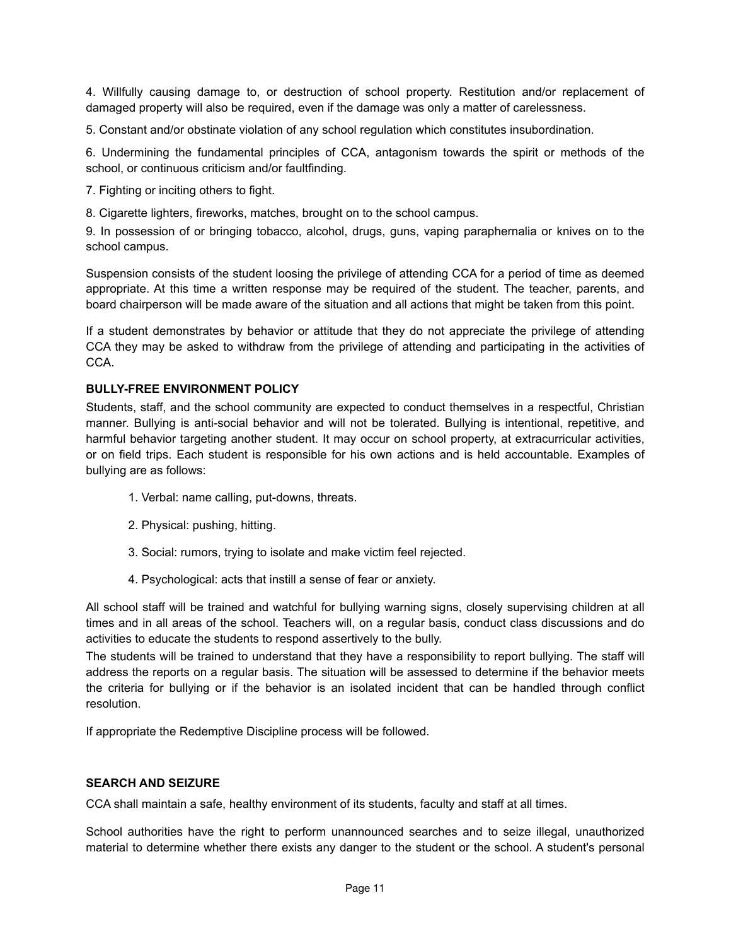4. Willfully causing damage to, or destruction of school property. Restitution and/or replacement of damaged property will also be required, even if the damage was only a matter of carelessness.

5. Constant and/or obstinate violation of any school regulation which constitutes insubordination.

6. Undermining the fundamental principles of CCA, antagonism towards the spirit or methods of the school, or continuous criticism and/or faultfinding.

7. Fighting or inciting others to fight.

8. Cigarette lighters, fireworks, matches, brought on to the school campus.

9. In possession of or bringing tobacco, alcohol, drugs, guns, vaping paraphernalia or knives on to the school campus.

Suspension consists of the student loosing the privilege of attending CCA for a period of time as deemed appropriate. At this time a written response may be required of the student. The teacher, parents, and board chairperson will be made aware of the situation and all actions that might be taken from this point.

If a student demonstrates by behavior or attitude that they do not appreciate the privilege of attending CCA they may be asked to withdraw from the privilege of attending and participating in the activities of CCA.

# **BULLY-FREE ENVIRONMENT POLICY**

Students, staff, and the school community are expected to conduct themselves in a respectful, Christian manner. Bullying is anti-social behavior and will not be tolerated. Bullying is intentional, repetitive, and harmful behavior targeting another student. It may occur on school property, at extracurricular activities, or on field trips. Each student is responsible for his own actions and is held accountable. Examples of bullying are as follows:

- 1. Verbal: name calling, put-downs, threats.
- 2. Physical: pushing, hitting.
- 3. Social: rumors, trying to isolate and make victim feel rejected.
- 4. Psychological: acts that instill a sense of fear or anxiety.

All school staff will be trained and watchful for bullying warning signs, closely supervising children at all times and in all areas of the school. Teachers will, on a regular basis, conduct class discussions and do activities to educate the students to respond assertively to the bully.

The students will be trained to understand that they have a responsibility to report bullying. The staff will address the reports on a regular basis. The situation will be assessed to determine if the behavior meets the criteria for bullying or if the behavior is an isolated incident that can be handled through conflict resolution.

If appropriate the Redemptive Discipline process will be followed.

## **SEARCH AND SEIZURE**

CCA shall maintain a safe, healthy environment of its students, faculty and staff at all times.

School authorities have the right to perform unannounced searches and to seize illegal, unauthorized material to determine whether there exists any danger to the student or the school. A student's personal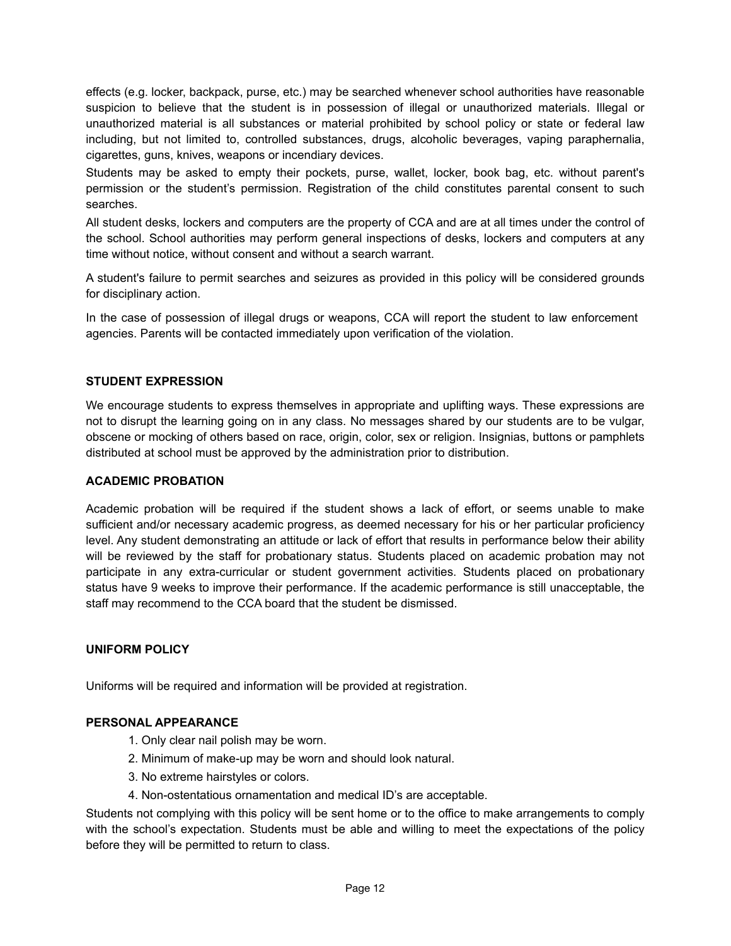effects (e.g. locker, backpack, purse, etc.) may be searched whenever school authorities have reasonable suspicion to believe that the student is in possession of illegal or unauthorized materials. Illegal or unauthorized material is all substances or material prohibited by school policy or state or federal law including, but not limited to, controlled substances, drugs, alcoholic beverages, vaping paraphernalia, cigarettes, guns, knives, weapons or incendiary devices.

Students may be asked to empty their pockets, purse, wallet, locker, book bag, etc. without parent's permission or the student's permission. Registration of the child constitutes parental consent to such searches.

All student desks, lockers and computers are the property of CCA and are at all times under the control of the school. School authorities may perform general inspections of desks, lockers and computers at any time without notice, without consent and without a search warrant.

A student's failure to permit searches and seizures as provided in this policy will be considered grounds for disciplinary action.

In the case of possession of illegal drugs or weapons, CCA will report the student to law enforcement agencies. Parents will be contacted immediately upon verification of the violation.

# **STUDENT EXPRESSION**

We encourage students to express themselves in appropriate and uplifting ways. These expressions are not to disrupt the learning going on in any class. No messages shared by our students are to be vulgar, obscene or mocking of others based on race, origin, color, sex or religion. Insignias, buttons or pamphlets distributed at school must be approved by the administration prior to distribution.

### **ACADEMIC PROBATION**

Academic probation will be required if the student shows a lack of effort, or seems unable to make sufficient and/or necessary academic progress, as deemed necessary for his or her particular proficiency level. Any student demonstrating an attitude or lack of effort that results in performance below their ability will be reviewed by the staff for probationary status. Students placed on academic probation may not participate in any extra-curricular or student government activities. Students placed on probationary status have 9 weeks to improve their performance. If the academic performance is still unacceptable, the staff may recommend to the CCA board that the student be dismissed.

## **UNIFORM POLICY**

Uniforms will be required and information will be provided at registration.

# **PERSONAL APPEARANCE**

- 1. Only clear nail polish may be worn.
- 2. Minimum of make-up may be worn and should look natural.
- 3. No extreme hairstyles or colors.
- 4. Non-ostentatious ornamentation and medical ID's are acceptable.

Students not complying with this policy will be sent home or to the office to make arrangements to comply with the school's expectation. Students must be able and willing to meet the expectations of the policy before they will be permitted to return to class.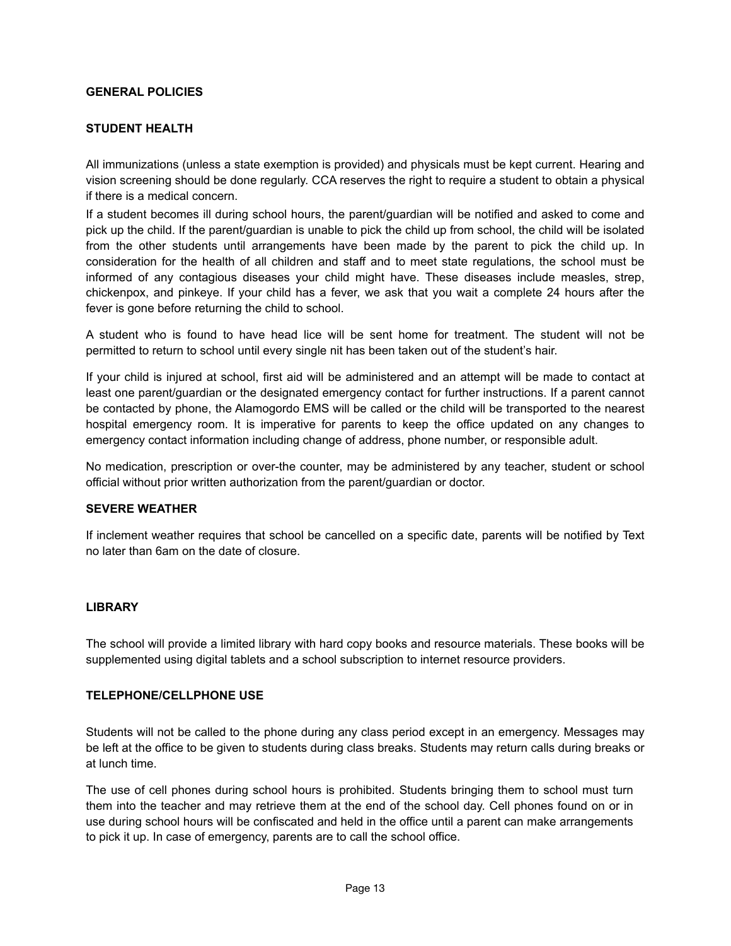# **GENERAL POLICIES**

# **STUDENT HEALTH**

All immunizations (unless a state exemption is provided) and physicals must be kept current. Hearing and vision screening should be done regularly. CCA reserves the right to require a student to obtain a physical if there is a medical concern.

If a student becomes ill during school hours, the parent/guardian will be notified and asked to come and pick up the child. If the parent/guardian is unable to pick the child up from school, the child will be isolated from the other students until arrangements have been made by the parent to pick the child up. In consideration for the health of all children and staff and to meet state regulations, the school must be informed of any contagious diseases your child might have. These diseases include measles, strep, chickenpox, and pinkeye. If your child has a fever, we ask that you wait a complete 24 hours after the fever is gone before returning the child to school.

A student who is found to have head lice will be sent home for treatment. The student will not be permitted to return to school until every single nit has been taken out of the student's hair.

If your child is injured at school, first aid will be administered and an attempt will be made to contact at least one parent/guardian or the designated emergency contact for further instructions. If a parent cannot be contacted by phone, the Alamogordo EMS will be called or the child will be transported to the nearest hospital emergency room. It is imperative for parents to keep the office updated on any changes to emergency contact information including change of address, phone number, or responsible adult.

No medication, prescription or over-the counter, may be administered by any teacher, student or school official without prior written authorization from the parent/guardian or doctor.

# **SEVERE WEATHER**

If inclement weather requires that school be cancelled on a specific date, parents will be notified by Text no later than 6am on the date of closure.

#### **LIBRARY**

The school will provide a limited library with hard copy books and resource materials. These books will be supplemented using digital tablets and a school subscription to internet resource providers.

#### **TELEPHONE/CELLPHONE USE**

Students will not be called to the phone during any class period except in an emergency. Messages may be left at the office to be given to students during class breaks. Students may return calls during breaks or at lunch time.

The use of cell phones during school hours is prohibited. Students bringing them to school must turn them into the teacher and may retrieve them at the end of the school day. Cell phones found on or in use during school hours will be confiscated and held in the office until a parent can make arrangements to pick it up. In case of emergency, parents are to call the school office.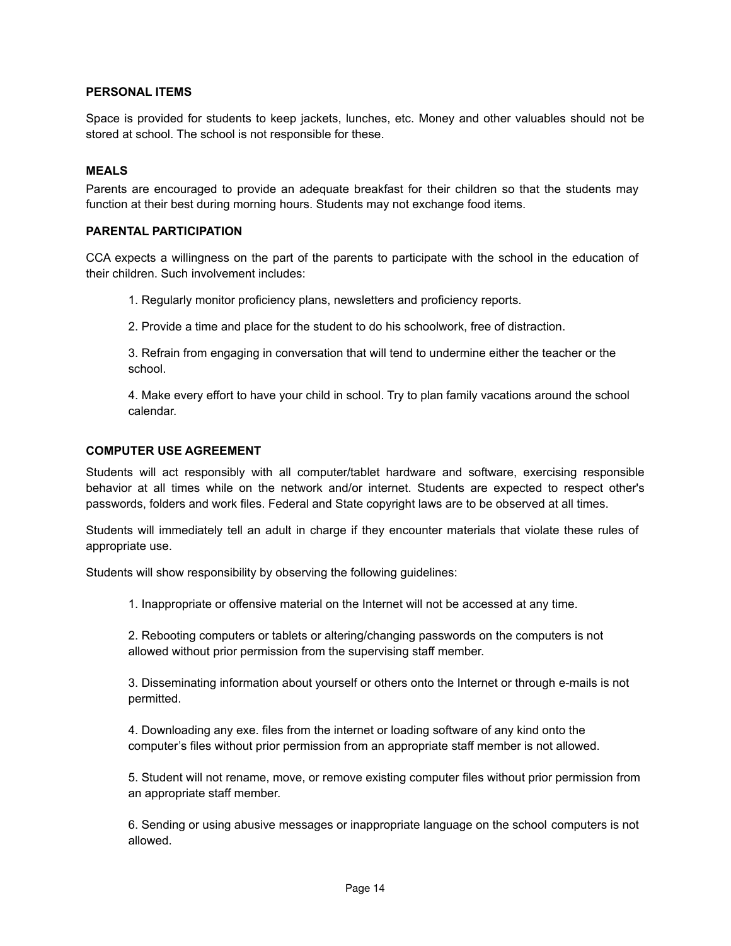# **PERSONAL ITEMS**

Space is provided for students to keep jackets, lunches, etc. Money and other valuables should not be stored at school. The school is not responsible for these.

## **MEALS**

Parents are encouraged to provide an adequate breakfast for their children so that the students may function at their best during morning hours. Students may not exchange food items.

## **PARENTAL PARTICIPATION**

CCA expects a willingness on the part of the parents to participate with the school in the education of their children. Such involvement includes:

1. Regularly monitor proficiency plans, newsletters and proficiency reports.

2. Provide a time and place for the student to do his schoolwork, free of distraction.

3. Refrain from engaging in conversation that will tend to undermine either the teacher or the school.

4. Make every effort to have your child in school. Try to plan family vacations around the school calendar.

### **COMPUTER USE AGREEMENT**

Students will act responsibly with all computer/tablet hardware and software, exercising responsible behavior at all times while on the network and/or internet. Students are expected to respect other's passwords, folders and work files. Federal and State copyright laws are to be observed at all times.

Students will immediately tell an adult in charge if they encounter materials that violate these rules of appropriate use.

Students will show responsibility by observing the following guidelines:

1. Inappropriate or offensive material on the Internet will not be accessed at any time.

2. Rebooting computers or tablets or altering/changing passwords on the computers is not allowed without prior permission from the supervising staff member.

3. Disseminating information about yourself or others onto the Internet or through e-mails is not permitted.

4. Downloading any exe. files from the internet or loading software of any kind onto the computer's files without prior permission from an appropriate staff member is not allowed.

5. Student will not rename, move, or remove existing computer files without prior permission from an appropriate staff member.

6. Sending or using abusive messages or inappropriate language on the school computers is not allowed.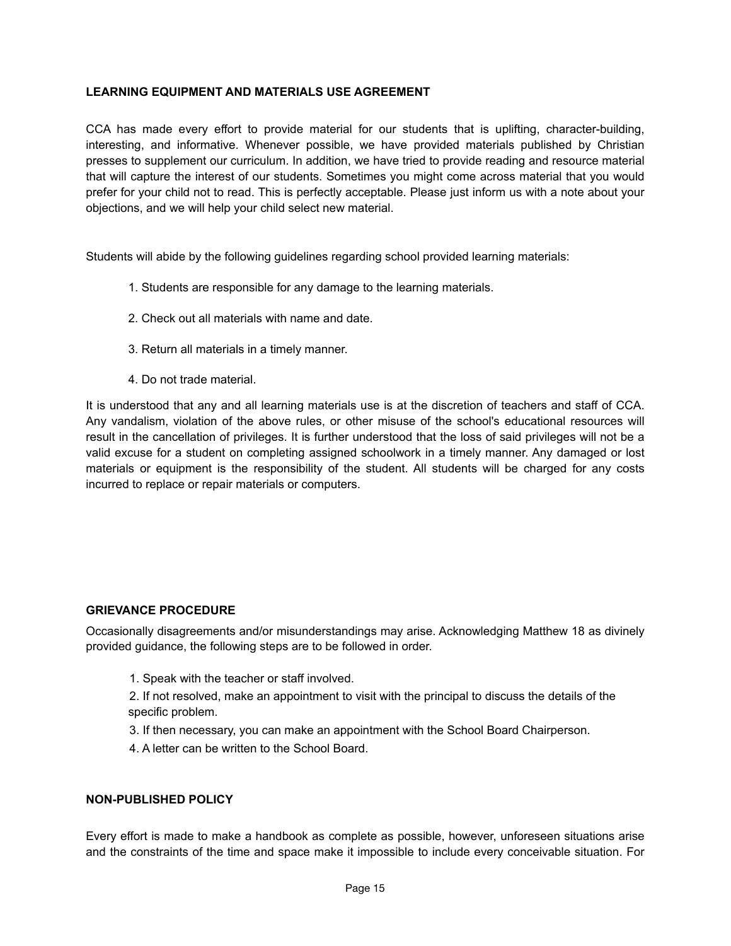# **LEARNING EQUIPMENT AND MATERIALS USE AGREEMENT**

CCA has made every effort to provide material for our students that is uplifting, character-building, interesting, and informative. Whenever possible, we have provided materials published by Christian presses to supplement our curriculum. In addition, we have tried to provide reading and resource material that will capture the interest of our students. Sometimes you might come across material that you would prefer for your child not to read. This is perfectly acceptable. Please just inform us with a note about your objections, and we will help your child select new material.

Students will abide by the following guidelines regarding school provided learning materials:

- 1. Students are responsible for any damage to the learning materials.
- 2. Check out all materials with name and date.
- 3. Return all materials in a timely manner.
- 4. Do not trade material.

It is understood that any and all learning materials use is at the discretion of teachers and staff of CCA. Any vandalism, violation of the above rules, or other misuse of the school's educational resources will result in the cancellation of privileges. It is further understood that the loss of said privileges will not be a valid excuse for a student on completing assigned schoolwork in a timely manner. Any damaged or lost materials or equipment is the responsibility of the student. All students will be charged for any costs incurred to replace or repair materials or computers.

# **GRIEVANCE PROCEDURE**

Occasionally disagreements and/or misunderstandings may arise. Acknowledging Matthew 18 as divinely provided guidance, the following steps are to be followed in order.

- 1. Speak with the teacher or staff involved.
- 2. If not resolved, make an appointment to visit with the principal to discuss the details of the specific problem.
- 3. If then necessary, you can make an appointment with the School Board Chairperson.
- 4. A letter can be written to the School Board.

## **NON-PUBLISHED POLICY**

Every effort is made to make a handbook as complete as possible, however, unforeseen situations arise and the constraints of the time and space make it impossible to include every conceivable situation. For